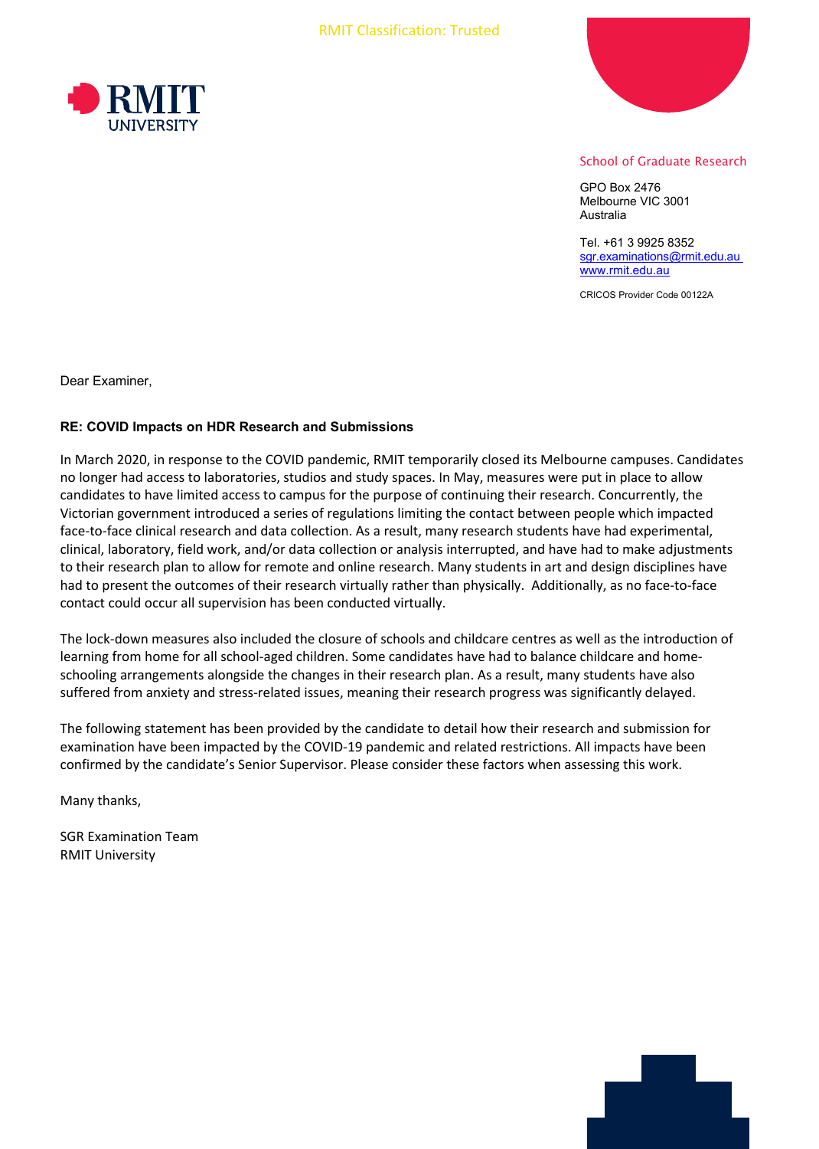



## School of Graduate Research

GPO Box 2476 Melbourne VIC 3001 Australia

Tel. +61 3 9925 8352 [sgr.examinations@rmit.edu.au](mailto:sgr.examinations@rmit.edu.au) [www.rmit.edu.au](http://www.rmit.edu.au/)

CRICOS Provider Code 00122A

Dear Examiner,

## **RE: COVID Impacts on HDR Research and Submissions**

In March 2020, in response to the COVID pandemic, RMIT temporarily closed its Melbourne campuses. Candidates no longer had access to laboratories, studios and study spaces. In May, measures were put in place to allow candidates to have limited access to campus for the purpose of continuing their research. Concurrently, the Victorian government introduced a series of regulations limiting the contact between people which impacted face-to-face clinical research and data collection. As a result, many research students have had experimental, clinical, laboratory, field work, and/or data collection or analysis interrupted, and have had to make adjustments to their research plan to allow for remote and online research. Many students in art and design disciplines have had to present the outcomes of their research virtually rather than physically. Additionally, as no face-to-face contact could occur all supervision has been conducted virtually.

The lock-down measures also included the closure of schools and childcare centres as well as the introduction of learning from home for all school-aged children. Some candidates have had to balance childcare and homeschooling arrangements alongside the changes in their research plan. As a result, many students have also suffered from anxiety and stress-related issues, meaning their research progress was significantly delayed.

The following statement has been provided by the candidate to detail how their research and submission for examination have been impacted by the COVID-19 pandemic and related restrictions. All impacts have been confirmed by the candidate's Senior Supervisor. Please consider these factors when assessing this work.

Many thanks,

SGR Examination Team RMIT University